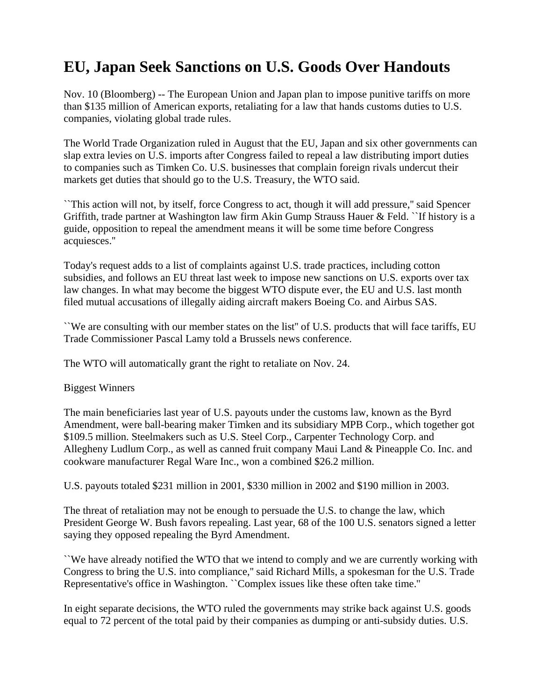## **EU, Japan Seek Sanctions on U.S. Goods Over Handouts**

Nov. 10 (Bloomberg) -- The European Union and Japan plan to impose punitive tariffs on more than \$135 million of American exports, retaliating for a law that hands customs duties to U.S. companies, violating global trade rules.

The World Trade Organization ruled in August that the EU, Japan and six other governments can slap extra levies on U.S. imports after Congress failed to repeal a law distributing import duties to companies such as Timken Co. U.S. businesses that complain foreign rivals undercut their markets get duties that should go to the U.S. Treasury, the WTO said.

``This action will not, by itself, force Congress to act, though it will add pressure,'' said Spencer Griffith, trade partner at Washington law firm Akin Gump Strauss Hauer & Feld. ``If history is a guide, opposition to repeal the amendment means it will be some time before Congress acquiesces.''

Today's request adds to a list of complaints against U.S. trade practices, including cotton subsidies, and follows an EU threat last week to impose new sanctions on U.S. exports over tax law changes. In what may become the biggest WTO dispute ever, the EU and U.S. last month filed mutual accusations of illegally aiding aircraft makers Boeing Co. and Airbus SAS.

``We are consulting with our member states on the list'' of U.S. products that will face tariffs, EU Trade Commissioner Pascal Lamy told a Brussels news conference.

The WTO will automatically grant the right to retaliate on Nov. 24.

## Biggest Winners

The main beneficiaries last year of U.S. payouts under the customs law, known as the Byrd Amendment, were ball-bearing maker Timken and its subsidiary MPB Corp., which together got \$109.5 million. Steelmakers such as U.S. Steel Corp., Carpenter Technology Corp. and Allegheny Ludlum Corp., as well as canned fruit company Maui Land & Pineapple Co. Inc. and cookware manufacturer Regal Ware Inc., won a combined \$26.2 million.

U.S. payouts totaled \$231 million in 2001, \$330 million in 2002 and \$190 million in 2003.

The threat of retaliation may not be enough to persuade the U.S. to change the law, which President George W. Bush favors repealing. Last year, 68 of the 100 U.S. senators signed a letter saying they opposed repealing the Byrd Amendment.

``We have already notified the WTO that we intend to comply and we are currently working with Congress to bring the U.S. into compliance,'' said Richard Mills, a spokesman for the U.S. Trade Representative's office in Washington. ``Complex issues like these often take time.''

In eight separate decisions, the WTO ruled the governments may strike back against U.S. goods equal to 72 percent of the total paid by their companies as dumping or anti-subsidy duties. U.S.